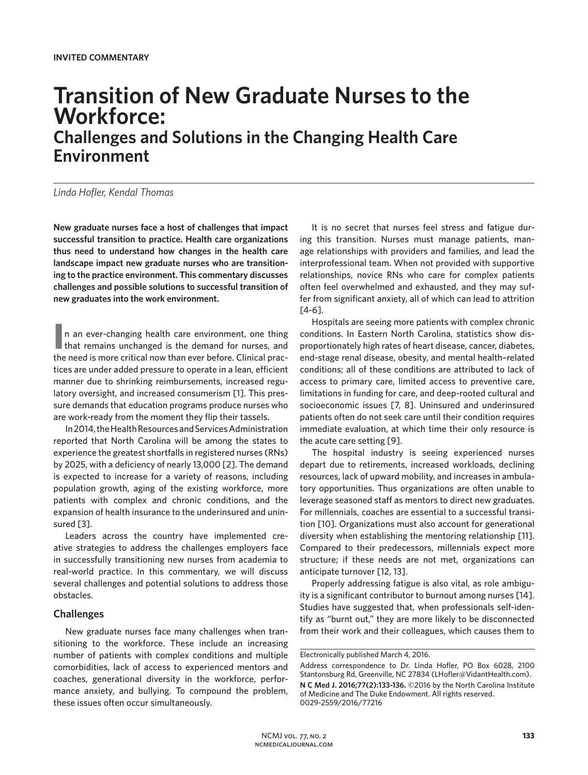# **Transition of New Graduate Nurses to the Workforce: Challenges and Solutions in the Changing Health Care Environment**

*Linda Hofler, Kendal Thomas*

**New graduate nurses face a host of challenges that impact successful transition to practice. Health care organizations thus need to understand how changes in the health care landscape impact new graduate nurses who are transitioning to the practice environment. This commentary discusses challenges and possible solutions to successful transition of new graduates into the work environment.** 

In an ever-changing health care environment, one thing<br>that remains unchanged is the demand for nurses, and n an ever-changing health care environment, one thing the need is more critical now than ever before. Clinical practices are under added pressure to operate in a lean, efficient manner due to shrinking reimbursements, increased regulatory oversight, and increased consumerism [1]. This pressure demands that education programs produce nurses who are work-ready from the moment they flip their tassels.

In 2014, the Health Resources and Services Administration reported that North Carolina will be among the states to experience the greatest shortfalls in registered nurses (RNs) by 2025, with a deficiency of nearly 13,000 [2]. The demand is expected to increase for a variety of reasons, including population growth, aging of the existing workforce, more patients with complex and chronic conditions, and the expansion of health insurance to the underinsured and uninsured [3].

Leaders across the country have implemented creative strategies to address the challenges employers face in successfully transitioning new nurses from academia to real-world practice. In this commentary, we will discuss several challenges and potential solutions to address those obstacles.

## **Challenges**

New graduate nurses face many challenges when transitioning to the workforce. These include an increasing number of patients with complex conditions and multiple comorbidities, lack of access to experienced mentors and coaches, generational diversity in the workforce, performance anxiety, and bullying. To compound the problem, these issues often occur simultaneously.

It is no secret that nurses feel stress and fatigue during this transition. Nurses must manage patients, manage relationships with providers and families, and lead the interprofessional team. When not provided with supportive relationships, novice RNs who care for complex patients often feel overwhelmed and exhausted, and they may suffer from significant anxiety, all of which can lead to attrition [4-6].

Hospitals are seeing more patients with complex chronic conditions. In Eastern North Carolina, statistics show disproportionately high rates of heart disease, cancer, diabetes, end-stage renal disease, obesity, and mental health–related conditions; all of these conditions are attributed to lack of access to primary care, limited access to preventive care, limitations in funding for care, and deep-rooted cultural and socioeconomic issues [7, 8]. Uninsured and underinsured patients often do not seek care until their condition requires immediate evaluation, at which time their only resource is the acute care setting [9].

The hospital industry is seeing experienced nurses depart due to retirements, increased workloads, declining resources, lack of upward mobility, and increases in ambulatory opportunities. Thus organizations are often unable to leverage seasoned staff as mentors to direct new graduates. For millennials, coaches are essential to a successful transition [10]. Organizations must also account for generational diversity when establishing the mentoring relationship [11]. Compared to their predecessors, millennials expect more structure; if these needs are not met, organizations can anticipate turnover [12, 13].

Properly addressing fatigue is also vital, as role ambiguity is a significant contributor to burnout among nurses [14]. Studies have suggested that, when professionals self-identify as "burnt out," they are more likely to be disconnected from their work and their colleagues, which causes them to

Electronically published March 4, 2016.

Address correspondence to Dr. Linda Hofler, PO Box 6028, 2100 Stantonsburg Rd, Greenville, NC 27834 (LHofler@VidantHealth.com).

**N C Med J. 2016;77(2):133-136.** ©2016 by the North Carolina Institute of Medicine and The Duke Endowment. All rights reserved. 0029-2559/2016/77216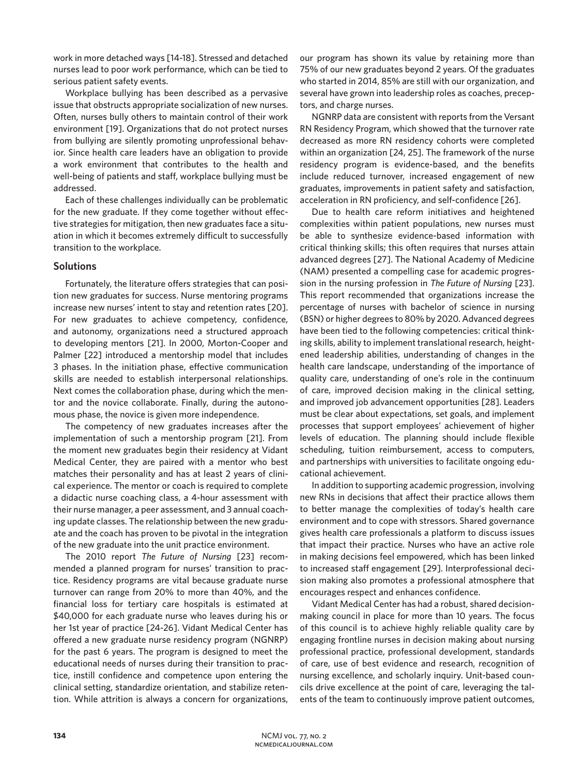work in more detached ways [14-18]. Stressed and detached nurses lead to poor work performance, which can be tied to serious patient safety events.

Workplace bullying has been described as a pervasive issue that obstructs appropriate socialization of new nurses. Often, nurses bully others to maintain control of their work environment [19]. Organizations that do not protect nurses from bullying are silently promoting unprofessional behavior. Since health care leaders have an obligation to provide a work environment that contributes to the health and well-being of patients and staff, workplace bullying must be addressed.

Each of these challenges individually can be problematic for the new graduate. If they come together without effective strategies for mitigation, then new graduates face a situation in which it becomes extremely difficult to successfully transition to the workplace.

## **Solutions**

Fortunately, the literature offers strategies that can position new graduates for success. Nurse mentoring programs increase new nurses' intent to stay and retention rates [20]. For new graduates to achieve competency, confidence, and autonomy, organizations need a structured approach to developing mentors [21]. In 2000, Morton-Cooper and Palmer [22] introduced a mentorship model that includes 3 phases. In the initiation phase, effective communication skills are needed to establish interpersonal relationships. Next comes the collaboration phase, during which the mentor and the novice collaborate. Finally, during the autonomous phase, the novice is given more independence.

The competency of new graduates increases after the implementation of such a mentorship program [21]. From the moment new graduates begin their residency at Vidant Medical Center, they are paired with a mentor who best matches their personality and has at least 2 years of clinical experience. The mentor or coach is required to complete a didactic nurse coaching class, a 4-hour assessment with their nurse manager, a peer assessment, and 3 annual coaching update classes. The relationship between the new graduate and the coach has proven to be pivotal in the integration of the new graduate into the unit practice environment.

The 2010 report *The Future of Nursing* [23] recommended a planned program for nurses' transition to practice. Residency programs are vital because graduate nurse turnover can range from 20% to more than 40%, and the financial loss for tertiary care hospitals is estimated at \$40,000 for each graduate nurse who leaves during his or her 1st year of practice [24-26]. Vidant Medical Center has offered a new graduate nurse residency program (NGNRP) for the past 6 years. The program is designed to meet the educational needs of nurses during their transition to practice, instill confidence and competence upon entering the clinical setting, standardize orientation, and stabilize retention. While attrition is always a concern for organizations, our program has shown its value by retaining more than 75% of our new graduates beyond 2 years. Of the graduates who started in 2014, 85% are still with our organization, and several have grown into leadership roles as coaches, preceptors, and charge nurses.

NGNRP data are consistent with reports from the Versant RN Residency Program, which showed that the turnover rate decreased as more RN residency cohorts were completed within an organization [24, 25]. The framework of the nurse residency program is evidence-based, and the benefits include reduced turnover, increased engagement of new graduates, improvements in patient safety and satisfaction, acceleration in RN proficiency, and self-confidence [26].

Due to health care reform initiatives and heightened complexities within patient populations, new nurses must be able to synthesize evidence-based information with critical thinking skills; this often requires that nurses attain advanced degrees [27]. The National Academy of Medicine (NAM) presented a compelling case for academic progression in the nursing profession in *The Future of Nursing* [23]. This report recommended that organizations increase the percentage of nurses with bachelor of science in nursing (BSN) or higher degrees to 80% by 2020. Advanced degrees have been tied to the following competencies: critical thinking skills, ability to implement translational research, heightened leadership abilities, understanding of changes in the health care landscape, understanding of the importance of quality care, understanding of one's role in the continuum of care, improved decision making in the clinical setting, and improved job advancement opportunities [28]. Leaders must be clear about expectations, set goals, and implement processes that support employees' achievement of higher levels of education. The planning should include flexible scheduling, tuition reimbursement, access to computers, and partnerships with universities to facilitate ongoing educational achievement.

In addition to supporting academic progression, involving new RNs in decisions that affect their practice allows them to better manage the complexities of today's health care environment and to cope with stressors. Shared governance gives health care professionals a platform to discuss issues that impact their practice. Nurses who have an active role in making decisions feel empowered, which has been linked to increased staff engagement [29]. Interprofessional decision making also promotes a professional atmosphere that encourages respect and enhances confidence.

Vidant Medical Center has had a robust, shared decisionmaking council in place for more than 10 years. The focus of this council is to achieve highly reliable quality care by engaging frontline nurses in decision making about nursing professional practice, professional development, standards of care, use of best evidence and research, recognition of nursing excellence, and scholarly inquiry. Unit-based councils drive excellence at the point of care, leveraging the talents of the team to continuously improve patient outcomes,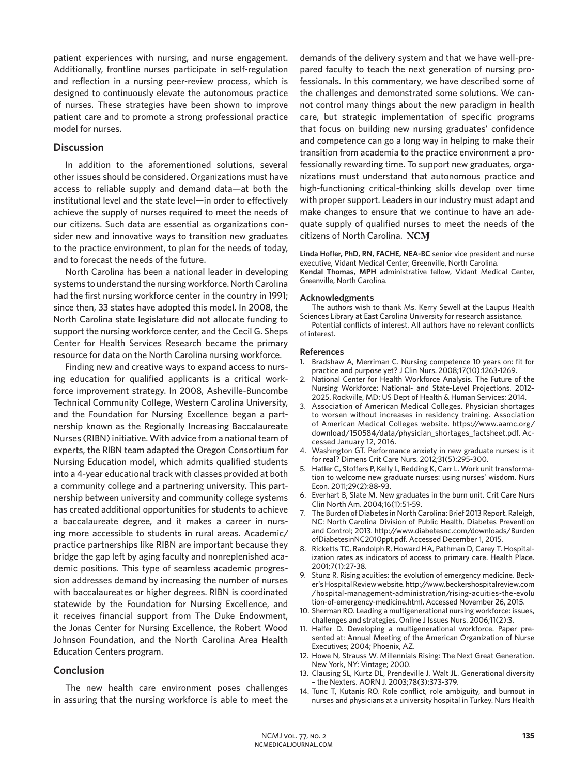patient experiences with nursing, and nurse engagement. Additionally, frontline nurses participate in self-regulation and reflection in a nursing peer-review process, which is designed to continuously elevate the autonomous practice of nurses. These strategies have been shown to improve patient care and to promote a strong professional practice model for nurses.

#### **Discussion**

In addition to the aforementioned solutions, several other issues should be considered. Organizations must have access to reliable supply and demand data—at both the institutional level and the state level—in order to effectively achieve the supply of nurses required to meet the needs of our citizens. Such data are essential as organizations consider new and innovative ways to transition new graduates to the practice environment, to plan for the needs of today, and to forecast the needs of the future.

North Carolina has been a national leader in developing systems to understand the nursing workforce. North Carolina had the first nursing workforce center in the country in 1991; since then, 33 states have adopted this model. In 2008, the North Carolina state legislature did not allocate funding to support the nursing workforce center, and the Cecil G. Sheps Center for Health Services Research became the primary resource for data on the North Carolina nursing workforce.

Finding new and creative ways to expand access to nursing education for qualified applicants is a critical workforce improvement strategy. In 2008, Asheville-Buncombe Technical Community College, Western Carolina University, and the Foundation for Nursing Excellence began a partnership known as the Regionally Increasing Baccalaureate Nurses (RIBN) initiative. With advice from a national team of experts, the RIBN team adapted the Oregon Consortium for Nursing Education model, which admits qualified students into a 4-year educational track with classes provided at both a community college and a partnering university. This partnership between university and community college systems has created additional opportunities for students to achieve a baccalaureate degree, and it makes a career in nursing more accessible to students in rural areas. Academic/ practice partnerships like RIBN are important because they bridge the gap left by aging faculty and nonreplenished academic positions. This type of seamless academic progression addresses demand by increasing the number of nurses with baccalaureates or higher degrees. RIBN is coordinated statewide by the Foundation for Nursing Excellence, and it receives financial support from The Duke Endowment, the Jonas Center for Nursing Excellence, the Robert Wood Johnson Foundation, and the North Carolina Area Health Education Centers program.

## **Conclusion**

The new health care environment poses challenges in assuring that the nursing workforce is able to meet the

demands of the delivery system and that we have well-prepared faculty to teach the next generation of nursing professionals. In this commentary, we have described some of the challenges and demonstrated some solutions. We cannot control many things about the new paradigm in health care, but strategic implementation of specific programs that focus on building new nursing graduates' confidence and competence can go a long way in helping to make their transition from academia to the practice environment a professionally rewarding time. To support new graduates, organizations must understand that autonomous practice and high-functioning critical-thinking skills develop over time with proper support. Leaders in our industry must adapt and make changes to ensure that we continue to have an adequate supply of qualified nurses to meet the needs of the citizens of North Carolina.

**Linda Hofler, PhD, RN, FACHE, NEA-BC** senior vice president and nurse executive, Vidant Medical Center, Greenville, North Carolina. **Kendal Thomas, MPH** administrative fellow, Vidant Medical Center, Greenville, North Carolina.

#### **Acknowledgments**

The authors wish to thank Ms. Kerry Sewell at the Laupus Health Sciences Library at East Carolina University for research assistance.

Potential conflicts of interest. All authors have no relevant conflicts of interest.

#### **References**

- 1. Bradshaw A, Merriman C. Nursing competence 10 years on: fit for practice and purpose yet? J Clin Nurs. 2008;17(10):1263-1269.
- 2. National Center for Health Workforce Analysis. The Future of the Nursing Workforce: National- and State-Level Projections, 2012– 2025. Rockville, MD: US Dept of Health & Human Services; 2014.
- 3. Association of American Medical Colleges. Physician shortages to worsen without increases in residency training. Association of American Medical Colleges website. https://www.aamc.org/ download/150584/data/physician\_shortages\_factsheet.pdf. Accessed January 12, 2016.
- 4. Washington GT. Performance anxiety in new graduate nurses: is it for real? Dimens Crit Care Nurs. 2012;31(5):295-300.
- 5. Hatler C, Stoffers P, Kelly L, Redding K, Carr L. Work unit transformation to welcome new graduate nurses: using nurses' wisdom. Nurs Econ. 2011;29(2):88-93.
- 6. Everhart B, Slate M. New graduates in the burn unit. Crit Care Nurs Clin North Am. 2004;16(1):51-59.
- 7. The Burden of Diabetes in North Carolina: Brief 2013 Report. Raleigh, NC: North Carolina Division of Public Health, Diabetes Prevention and Control; 2013. http://www.diabetesnc.com/downloads/Burden ofDiabetesinNC2010ppt.pdf. Accessed December 1, 2015.
- 8. Ricketts TC, Randolph R, Howard HA, Pathman D, Carey T. Hospitalization rates as indicators of access to primary care. Health Place. 2001;7(1):27-38.
- 9. Stunz R. Rising acuities: the evolution of emergency medicine. Becker's Hospital Review website. http://www.beckershospitalreview.com /hospital-management-administration/rising-acuities-the-evolu tion-of-emergency-medicine.html. Accessed November 26, 2015.
- 10. Sherman RO. Leading a multigenerational nursing workforce: issues, challenges and strategies. Online J Issues Nurs. 2006;11(2):3.
- 11. Halfer D. Developing a multigenerational workforce. Paper presented at: Annual Meeting of the American Organization of Nurse Executives; 2004; Phoenix, AZ.
- 12. Howe N, Strauss W. Millennials Rising: The Next Great Generation. New York, NY: Vintage; 2000.
- 13. Clausing SL, Kurtz DL, Prendeville J, Walt JL. Generational diversity – the Nexters. AORN J. 2003;78(3):373-379.
- 14. Tunc T, Kutanis RO. Role conflict, role ambiguity, and burnout in nurses and physicians at a university hospital in Turkey. Nurs Health